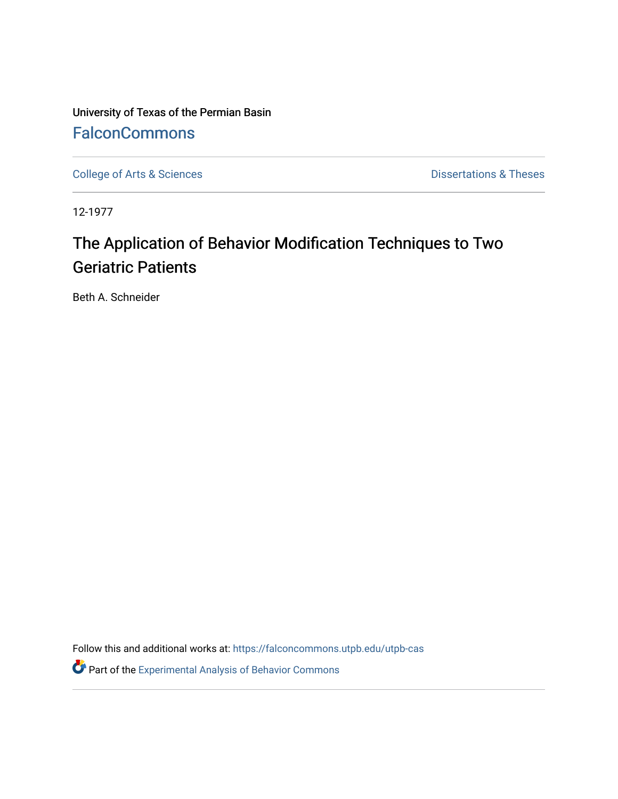University of Texas of the Permian Basin **[FalconCommons](https://falconcommons.utpb.edu/)** 

[College of Arts & Sciences](https://falconcommons.utpb.edu/utpb-cas) **Dissertations & Theses** Dissertations & Theses

12-1977

## The Application of Behavior Modification Techniques to Two Geriatric Patients

Beth A. Schneider

Follow this and additional works at: [https://falconcommons.utpb.edu/utpb-cas](https://falconcommons.utpb.edu/utpb-cas?utm_source=falconcommons.utpb.edu%2Futpb-cas%2F77&utm_medium=PDF&utm_campaign=PDFCoverPages)

**P** Part of the Experimental Analysis of Behavior Commons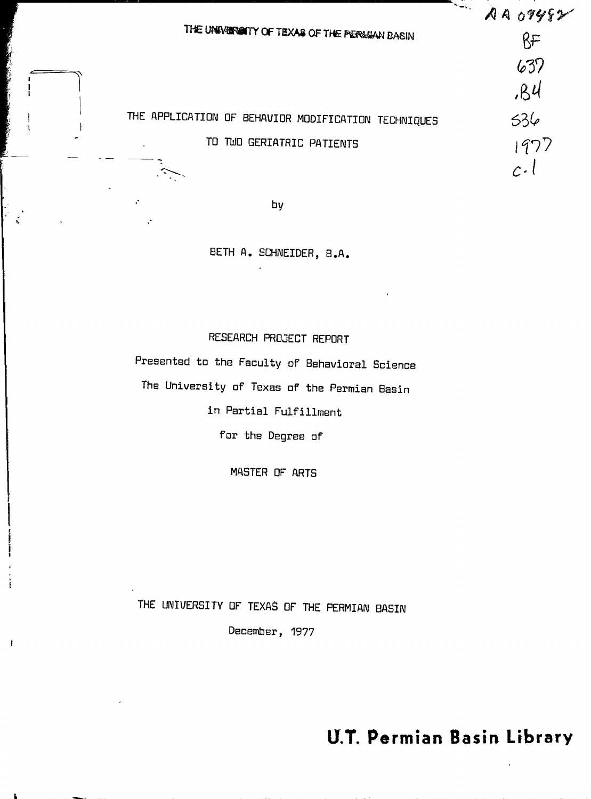| ो मध्य                                              | A A 099992                      |
|-----------------------------------------------------|---------------------------------|
| THE UNIVERSITY OF TEXAS OF THE PERMIAN BASIN        | BF                              |
|                                                     | 637                             |
|                                                     | .84                             |
| THE APPLICATION OF BEHAVIOR MODIFICATION TECHNIQUES | 536                             |
| TWO GERIATRIC PATIENTS<br>TO<br>$\bullet$           | 1977                            |
|                                                     | $\mathcal{C} \cdot \mathcal{C}$ |
|                                                     |                                 |

by

**CONTRACTOR** 

 $\mathbf{r}$ 

BETH A. SCHNEIDER, B.A.

RESEARCH PROJECT REPORT

Presented to the Faculty of Behavioral Science The University of Texas of the Permian Basin

in Partial Fulfillment

for the Degree of

MASTER OF ARTS

THE UNIVERSITY OF TEXAS OF THE PERMIAN BASIN

December, 1977

**tr.T. Permian Basin Library**